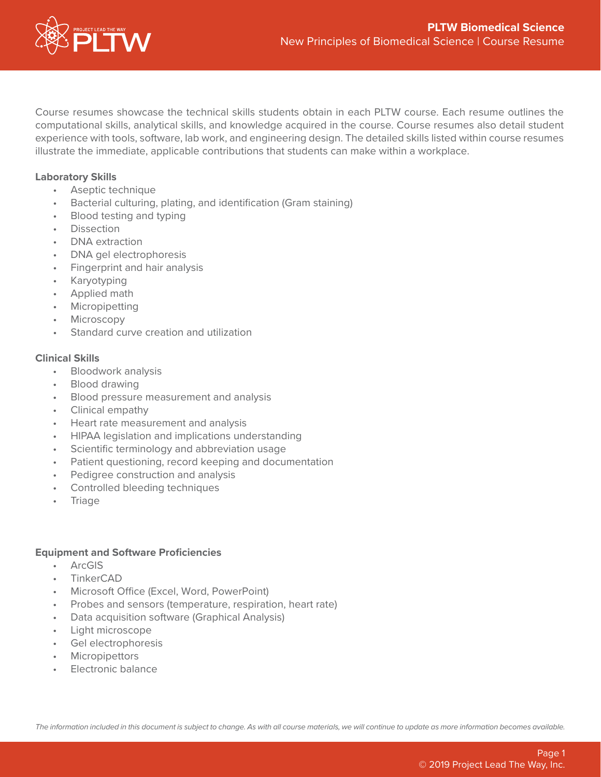

Course resumes showcase the technical skills students obtain in each PLTW course. Each resume outlines the computational skills, analytical skills, and knowledge acquired in the course. Course resumes also detail student experience with tools, software, lab work, and engineering design. The detailed skills listed within course resumes illustrate the immediate, applicable contributions that students can make within a workplace.

## **Laboratory Skills**

- Aseptic technique
- Bacterial culturing, plating, and identification (Gram staining)
- Blood testing and typing
- Dissection
- DNA extraction
- DNA gel electrophoresis
- Fingerprint and hair analysis
- **Karyotyping**
- Applied math
- Micropipetting
- Microscopy
- Standard curve creation and utilization

#### **Clinical Skills**

- Bloodwork analysis
- Blood drawing
- Blood pressure measurement and analysis
- Clinical empathy
- Heart rate measurement and analysis
- HIPAA legislation and implications understanding
- Scientific terminology and abbreviation usage
- Patient questioning, record keeping and documentation
- Pedigree construction and analysis
- Controlled bleeding techniques
- **Triage**

#### **Equipment and Software Proficiencies**

- ArcGIS
- TinkerCAD
- Microsoft Office (Excel, Word, PowerPoint)
- Probes and sensors (temperature, respiration, heart rate)
- Data acquisition software (Graphical Analysis)
- Light microscope
- Gel electrophoresis
- **Micropipettors**
- Electronic balance

*The information included in this document is subject to change. As with all course materials, we will continue to update as more information becomes available.*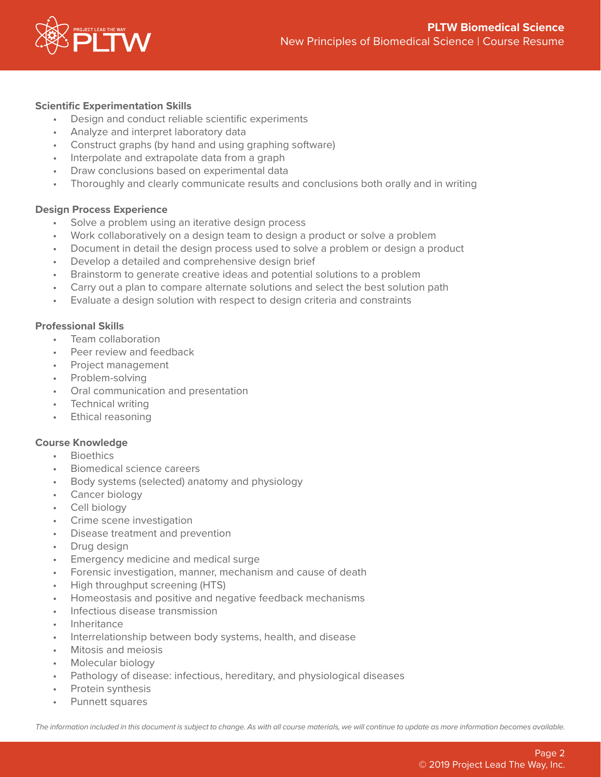

# **Scientific Experimentation Skills**

- Design and conduct reliable scientific experiments
- Analyze and interpret laboratory data
- Construct graphs (by hand and using graphing software)
- Interpolate and extrapolate data from a graph
- Draw conclusions based on experimental data
- Thoroughly and clearly communicate results and conclusions both orally and in writing

## **Design Process Experience**

- Solve a problem using an iterative design process
- Work collaboratively on a design team to design a product or solve a problem
- Document in detail the design process used to solve a problem or design a product
- Develop a detailed and comprehensive design brief
- Brainstorm to generate creative ideas and potential solutions to a problem
- Carry out a plan to compare alternate solutions and select the best solution path
- Evaluate a design solution with respect to design criteria and constraints

## **Professional Skills**

- Team collaboration
- Peer review and feedback
- Project management
- Problem-solving
- Oral communication and presentation
- Technical writing
- Ethical reasoning

## **Course Knowledge**

- **Bioethics**
- Biomedical science careers
- Body systems (selected) anatomy and physiology
- Cancer biology
- Cell biology
- Crime scene investigation
- Disease treatment and prevention
- Drug design
- Emergency medicine and medical surge
- Forensic investigation, manner, mechanism and cause of death
- High throughput screening (HTS)
- Homeostasis and positive and negative feedback mechanisms
- Infectious disease transmission
- Inheritance
- Interrelationship between body systems, health, and disease
- Mitosis and meiosis
- Molecular biology
- Pathology of disease: infectious, hereditary, and physiological diseases
- Protein synthesis
- Punnett squares

*The information included in this document is subject to change. As with all course materials, we will continue to update as more information becomes available.*